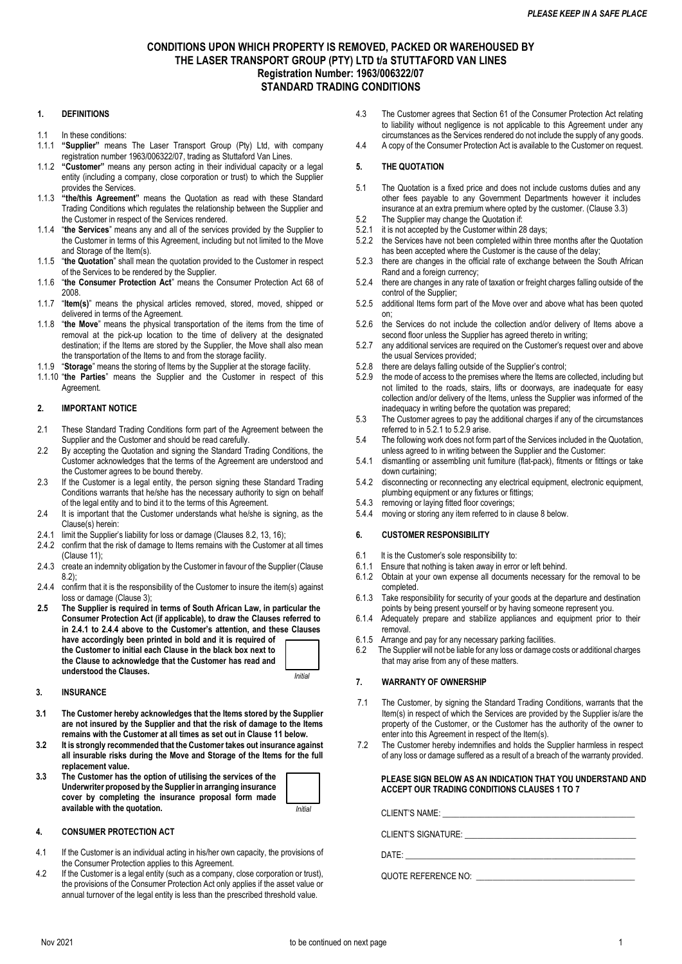# **CONDITIONS UPON WHICH PROPERTY IS REMOVED, PACKED OR WAREHOUSED BY THE LASER TRANSPORT GROUP (PTY) LTD t/a STUTTAFORD VAN LINES Registration Number: 1963/006322/07 STANDARD TRADING CONDITIONS**

# **1. DEFINITIONS**

- 1.1 In these conditions:
- 1.1.1 **"Supplier"** means The Laser Transport Group (Pty) Ltd, with company registration number 1963/006322/07, trading as Stuttaford Van Lines.
- 1.1.2 **"Customer"** means any person acting in their individual capacity or a legal entity (including a company, close corporation or trust) to which the Supplier provides the Services.
- 1.1.3 **"the/this Agreement"** means the Quotation as read with these Standard Trading Conditions which regulates the relationship between the Supplier and the Customer in respect of the Services rendered.
- 1.1.4 "**the Services**" means any and all of the services provided by the Supplier to the Customer in terms of this Agreement, including but not limited to the Move and Storage of the Item(s).
- 1.1.5 "**the Quotation**" shall mean the quotation provided to the Customer in respect of the Services to be rendered by the Supplier.
- 1.1.6 "**the Consumer Protection Act**" means the Consumer Protection Act 68 of 2008.
- 1.1.7 "**Item(s)**" means the physical articles removed, stored, moved, shipped or delivered in terms of the Agreement.
- 1.1.8 "**the Move**" means the physical transportation of the items from the time of removal at the pick-up location to the time of delivery at the designated destination; if the Items are stored by the Supplier, the Move shall also mean the transportation of the Items to and from the storage facility.
- 1.1.9 "**Storage**" means the storing of Items by the Supplier at the storage facility.
- 1.1.10 "**the Parties**" means the Supplier and the Customer in respect of this **Agreement**

## **2. IMPORTANT NOTICE**

- 2.1 These Standard Trading Conditions form part of the Agreement between the Supplier and the Customer and should be read carefully.
- 2.2 By accepting the Quotation and signing the Standard Trading Conditions, the Customer acknowledges that the terms of the Agreement are understood and the Customer agrees to be bound thereby.
- 2.3 If the Customer is a legal entity, the person signing these Standard Trading Conditions warrants that he/she has the necessary authority to sign on behalf of the legal entity and to bind it to the terms of this Agreement.
- 2.4 It is important that the Customer understands what he/she is signing, as the Clause(s) herein:
- 2.4.1 limit the Supplier's liability for loss or damage (Clauses 8.2, 13, 16);
- 2.4.2 confirm that the risk of damage to Items remains with the Customer at all times (Clause 11);
- 2.4.3 create an indemnity obligation by the Customer in favour of the Supplier (Clause 8.2);
- 2.4.4 confirm that it is the responsibility of the Customer to insure the item(s) against loss or damage (Clause 3);
- **2.5 The Supplier is required in terms of South African Law, in particular the Consumer Protection Act (if applicable), to draw the Clauses referred to in 2.4.1 to 2.4.4 above to the Customer's attention, and these Clauses have accordingly been printed in bold and it is required of the Customer to initial each Clause in the black box next to the Clause to acknowledge that the Customer has read and understood the Clauses.** *Initial*

# **3. INSURANCE**

- **3.1 The Customer hereby acknowledges that the Items stored by the Supplier are not insured by the Supplier and that the risk of damage to the Items remains with the Customer at all times as set out in Clause 11 below.**
- **3.2 It is strongly recommended that the Customer takes out insurance against all insurable risks during the Move and Storage of the Items for the full replacement value.**
- **3.3 The Customer has the option of utilising the services of the Underwriter proposed by the Supplier in arranging insurance cover by completing the insurance proposal form made available with the quotation.** *Initial*

### **4. CONSUMER PROTECTION ACT**

- 4.1 If the Customer is an individual acting in his/her own capacity, the provisions of the Consumer Protection applies to this Agreement.
- 4.2 If the Customer is a legal entity (such as a company, close corporation or trust), the provisions of the Consumer Protection Act only applies if the asset value or annual turnover of the legal entity is less than the prescribed threshold value.
- 4.3 The Customer agrees that Section 61 of the Consumer Protection Act relating to liability without negligence is not applicable to this Agreement under any circumstances as the Services rendered do not include the supply of any goods.
- 4.4 A copy of the Consumer Protection Act is available to the Customer on request.

## **5. THE QUOTATION**

- 5.1 The Quotation is a fixed price and does not include customs duties and any other fees payable to any Government Departments however it includes insurance at an extra premium where opted by the customer. (Clause 3.3)
- 5.2 The Supplier may change the Quotation if:<br>5.2.1 it is not accepted by the Customer within 28
- it is not accepted by the Customer within 28 days;
- 5.2.2 the Services have not been completed within three months after the Quotation has been accepted where the Customer is the cause of the delay;
- 5.2.3 there are changes in the official rate of exchange between the South African Rand and a foreign currency;
- 5.2.4 there are changes in any rate of taxation or freight charges falling outside of the control of the Supplier;
- 5.2.5 additional Items form part of the Move over and above what has been quoted on;
- 5.2.6 the Services do not include the collection and/or delivery of Items above a second floor unless the Supplier has agreed thereto in writing;
- 5.2.7 any additional services are required on the Customer's request over and above the usual Services provided;
- 5.2.8 there are delays falling outside of the Supplier's control;
- 5.2.9 the mode of access to the premises where the Items are collected, including but not limited to the roads, stairs, lifts or doorways, are inadequate for easy collection and/or delivery of the Items, unless the Supplier was informed of the inadequacy in writing before the quotation was prepared;
- 5.3 The Customer agrees to pay the additional charges if any of the circumstances referred to in 5.2.1 to 5.2.9 arise.
- 5.4 The following work does not form part of the Services included in the Quotation, unless agreed to in writing between the Supplier and the Customer:
- 5.4.1 dismantling or assembling unit furniture (flat-pack), fitments or fittings or take down curtaining;
- 5.4.2 disconnecting or reconnecting any electrical equipment, electronic equipment, plumbing equipment or any fixtures or fittings;
- 5.4.3 removing or laying fitted floor coverings;
- 5.4.4 moving or storing any item referred to in clause 8 below.

# **6. CUSTOMER RESPONSIBILITY**

- 6.1 It is the Customer's sole responsibility to:<br>6.1.1 Ensure that nothing is taken away in error
- Ensure that nothing is taken away in error or left behind.
- 6.1.2 Obtain at your own expense all documents necessary for the removal to be completed.
- 6.1.3 Take responsibility for security of your goods at the departure and destination points by being present yourself or by having someone represent you.
- 6.1.4 Adequately prepare and stabilize appliances and equipment prior to their removal.
- 6.1.5 Arrange and pay for any necessary parking facilities.
- 6.2 The Supplier will not be liable for any loss or damage costs or additional charges that may arise from any of these matters.

# **7. WARRANTY OF OWNERSHIP**

- 7.1 The Customer, by signing the Standard Trading Conditions, warrants that the Item(s) in respect of which the Services are provided by the Supplier is/are the property of the Customer, or the Customer has the authority of the owner to enter into this Agreement in respect of the Item(s).
- 7.2 The Customer hereby indemnifies and holds the Supplier harmless in respect of any loss or damage suffered as a result of a breach of the warranty provided.

# **PLEASE SIGN BELOW AS AN INDICATION THAT YOU UNDERSTAND AND ACCEPT OUR TRADING CONDITIONS CLAUSES 1 TO 7**

CLIENT'S NAME:

CLIENT'S SIGNATURE: \_\_\_\_\_\_\_\_\_\_\_\_\_\_\_\_\_\_\_\_\_\_\_\_\_\_\_\_\_\_\_\_\_\_\_\_\_\_\_\_\_

 $\mathsf{DATE}\colon$ 

QUOTE REFERENCE NO: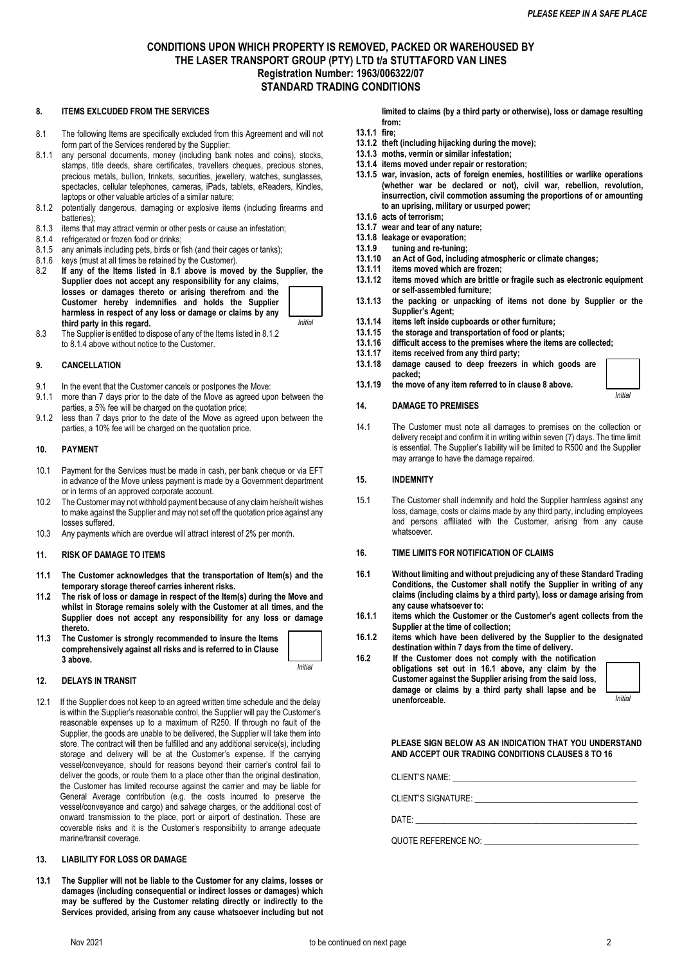# **CONDITIONS UPON WHICH PROPERTY IS REMOVED, PACKED OR WAREHOUSED BY THE LASER TRANSPORT GROUP (PTY) LTD t/a STUTTAFORD VAN LINES Registration Number: 1963/006322/07 STANDARD TRADING CONDITIONS**

#### **8. ITEMS EXLCUDED FROM THE SERVICES**

- 8.1 The following Items are specifically excluded from this Agreement and will not form part of the Services rendered by the Supplier:
- 8.1.1 any personal documents, money (including bank notes and coins), stocks, stamps, title deeds, share certificates, travellers cheques, precious stones, precious metals, bullion, trinkets, securities, jewellery, watches, sunglasses, spectacles, cellular telephones, cameras, iPads, tablets, eReaders, Kindles, laptops or other valuable articles of a similar nature;
- 8.1.2 potentially dangerous, damaging or explosive items (including firearms and batteries);
- 8.1.3 items that may attract vermin or other pests or cause an infestation;
- 8.1.4 refrigerated or frozen food or drinks;
- 8.1.5 any animals including pets, birds or fish (and their cages or tanks);
- 8.1.6 keys (must at all times be retained by the Customer).<br>8.2 If any of the Items listed in 8.1 above is move
- If any of the Items listed in 8.1 above is moved by the Supplier, the **Supplier does not accept any responsibility for any claims, losses or damages thereto or arising therefrom and the Customer hereby indemnifies and holds the Supplier harmless in respect of any loss or damage or claims by any third party in this regard.**  *Initial*
- 8.3 The Supplier is entitled to dispose of any of the Items listed in 8.1.2 to 8.1.4 above without notice to the Customer.

#### **9. CANCELLATION**

- 9.1 In the event that the Customer cancels or postpones the Move:
- 9.1.1 more than 7 days prior to the date of the Move as agreed upon between the parties, a 5% fee will be charged on the quotation price;
- 9.1.2 less than 7 days prior to the date of the Move as agreed upon between the parties, a 10% fee will be charged on the quotation price.

#### **10. PAYMENT**

- 10.1 Payment for the Services must be made in cash, per bank cheque or via EFT in advance of the Move unless payment is made by a Government department or in terms of an approved corporate account.
- 10.2 The Customer may not withhold payment because of any claim he/she/it wishes to make against the Supplier and may not set off the quotation price against any losses suffered.
- 10.3 Any payments which are overdue will attract interest of 2% per month.

#### **11. RISK OF DAMAGE TO ITEMS**

- **11.1 The Customer acknowledges that the transportation of Item(s) and the temporary storage thereof carries inherent risks.**
- **11.2 The risk of loss or damage in respect of the Item(s) during the Move and whilst in Storage remains solely with the Customer at all times, and the Supplier does not accept any responsibility for any loss or damage thereto.**
- **11.3 The Customer is strongly recommended to insure the Items comprehensively against all risks and is referred to in Clause 3 above.**

*Initial*

#### **12. DELAYS IN TRANSIT**

12.1 If the Supplier does not keep to an agreed written time schedule and the delay is within the Supplier's reasonable control, the Supplier will pay the Customer's reasonable expenses up to a maximum of R250. If through no fault of the Supplier, the goods are unable to be delivered, the Supplier will take them into store. The contract will then be fulfilled and any additional service(s), including storage and delivery will be at the Customer's expense. If the carrying vessel/conveyance, should for reasons beyond their carrier's control fail to deliver the goods, or route them to a place other than the original destination, the Customer has limited recourse against the carrier and may be liable for General Average contribution (e.g. the costs incurred to preserve the vessel/conveyance and cargo) and salvage charges, or the additional cost of onward transmission to the place, port or airport of destination. These are coverable risks and it is the Customer's responsibility to arrange adequate marine/transit coverage.

### **13. LIABILITY FOR LOSS OR DAMAGE**

**13.1 The Supplier will not be liable to the Customer for any claims, losses or damages (including consequential or indirect losses or damages) which may be suffered by the Customer relating directly or indirectly to the Services provided, arising from any cause whatsoever including but not** 

**limited to claims (by a third party or otherwise), loss or damage resulting from:**

- **13.1.1 fire;**
- **13.1.2 theft (including hijacking during the move);**
- **13.1.3 moths, vermin or similar infestation; 13.1.4 items moved under repair or restoration;**
- **13.1.5 war, invasion, acts of foreign enemies, hostilities or warlike operations (whether war be declared or not), civil war, rebellion, revolution, insurrection, civil commotion assuming the proportions of or amounting to an uprising, military or usurped power;**
- **13.1.6 acts of terrorism;**
- **13.1.7 wear and tear of any nature;**
- **13.1.8 leakage or evaporation; 13.1.9 tuning and re-tuning;**
- **13.1.10 an Act of God, including atmospheric or climate changes;**
- 
- **13.1.11 items moved which are frozen; 13.1.12 items moved which are brittle or fragile such as electronic equipment or self-assembled furniture;**
- **13.1.13 the packing or unpacking of items not done by Supplier or the Supplier's Agent;**
- **13.1.14 items left inside cupboards or other furniture;**
- **13.1.15 the storage and transportation of food or plants;**
- **13.1.16 difficult access to the premises where the items are collected;**
- **13.1.17 items received from any third party;**
- **13.1.18 damage caused to deep freezers in which goods are packed;**
- **13.1.19 the move of any item referred to in clause 8 above.**

## **14. DAMAGE TO PREMISES**

14.1 The Customer must note all damages to premises on the collection or delivery receipt and confirm it in writing within seven (7) days. The time limit is essential. The Supplier's liability will be limited to R500 and the Supplier may arrange to have the damage repaired.

#### **15. INDEMNITY**

15.1 The Customer shall indemnify and hold the Supplier harmless against any loss, damage, costs or claims made by any third party, including employees and persons affiliated with the Customer, arising from any cause whatsoever.

### **16. TIME LIMITS FOR NOTIFICATION OF CLAIMS**

- **16.1 Without limiting and without prejudicing any of these Standard Trading Conditions, the Customer shall notify the Supplier in writing of any claims (including claims by a third party), loss or damage arising from any cause whatsoever to:**
- **16.1.1 items which the Customer or the Customer's agent collects from the Supplier at the time of collection;**
- **16.1.2 items which have been delivered by the Supplier to the designated destination within 7 days from the time of delivery.**

**16.2 If the Customer does not comply with the notification obligations set out in 16.1 above, any claim by the Customer against the Supplier arising from the said loss, damage or claims by a third party shall lapse and be unenforceable.** 



*Initial*

**PLEASE SIGN BELOW AS AN INDICATION THAT YOU UNDERSTAND AND ACCEPT OUR TRADING CONDITIONS CLAUSES 8 TO 16**

CLIENT'S NAME:

CLIENT'S SIGNATURE:

DATE: \_\_\_\_\_\_\_\_\_\_\_\_\_\_\_\_\_\_\_\_\_\_\_\_\_\_\_\_\_\_\_\_\_\_\_\_\_\_\_\_\_\_\_\_\_\_\_\_\_\_\_\_\_

QUOTE REFERENCE NO: \_\_\_\_\_